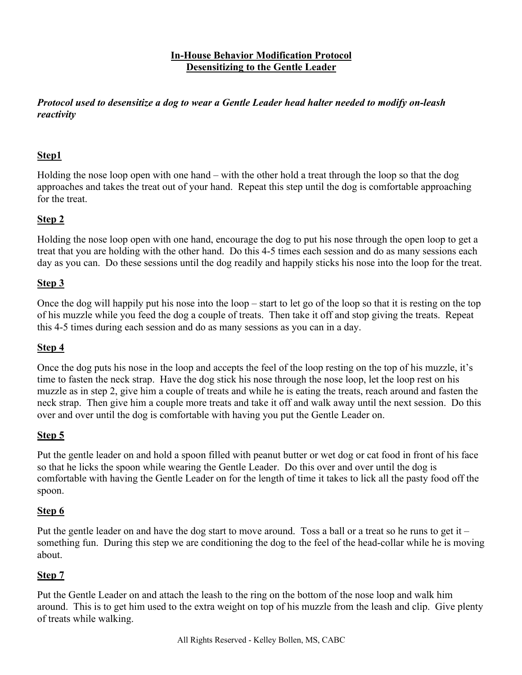#### **In-House Behavior Modification Protocol Desensitizing to the Gentle Leader**

*Protocol used to desensitize a dog to wear a Gentle Leader head halter needed to modify on-leash reactivity*

## **Step1**

Holding the nose loop open with one hand – with the other hold a treat through the loop so that the dog approaches and takes the treat out of your hand. Repeat this step until the dog is comfortable approaching for the treat.

## **Step 2**

Holding the nose loop open with one hand, encourage the dog to put his nose through the open loop to get a treat that you are holding with the other hand. Do this 4-5 times each session and do as many sessions each day as you can. Do these sessions until the dog readily and happily sticks his nose into the loop for the treat.

## **Step 3**

Once the dog will happily put his nose into the loop – start to let go of the loop so that it is resting on the top of his muzzle while you feed the dog a couple of treats. Then take it off and stop giving the treats. Repeat this 4-5 times during each session and do as many sessions as you can in a day.

### **Step 4**

Once the dog puts his nose in the loop and accepts the feel of the loop resting on the top of his muzzle, it's time to fasten the neck strap. Have the dog stick his nose through the nose loop, let the loop rest on his muzzle as in step 2, give him a couple of treats and while he is eating the treats, reach around and fasten the neck strap. Then give him a couple more treats and take it off and walk away until the next session. Do this over and over until the dog is comfortable with having you put the Gentle Leader on.

# **Step 5**

Put the gentle leader on and hold a spoon filled with peanut butter or wet dog or cat food in front of his face so that he licks the spoon while wearing the Gentle Leader. Do this over and over until the dog is comfortable with having the Gentle Leader on for the length of time it takes to lick all the pasty food off the spoon.

### **Step 6**

Put the gentle leader on and have the dog start to move around. Toss a ball or a treat so he runs to get it – something fun. During this step we are conditioning the dog to the feel of the head-collar while he is moving about.

# **Step 7**

Put the Gentle Leader on and attach the leash to the ring on the bottom of the nose loop and walk him around. This is to get him used to the extra weight on top of his muzzle from the leash and clip. Give plenty of treats while walking.